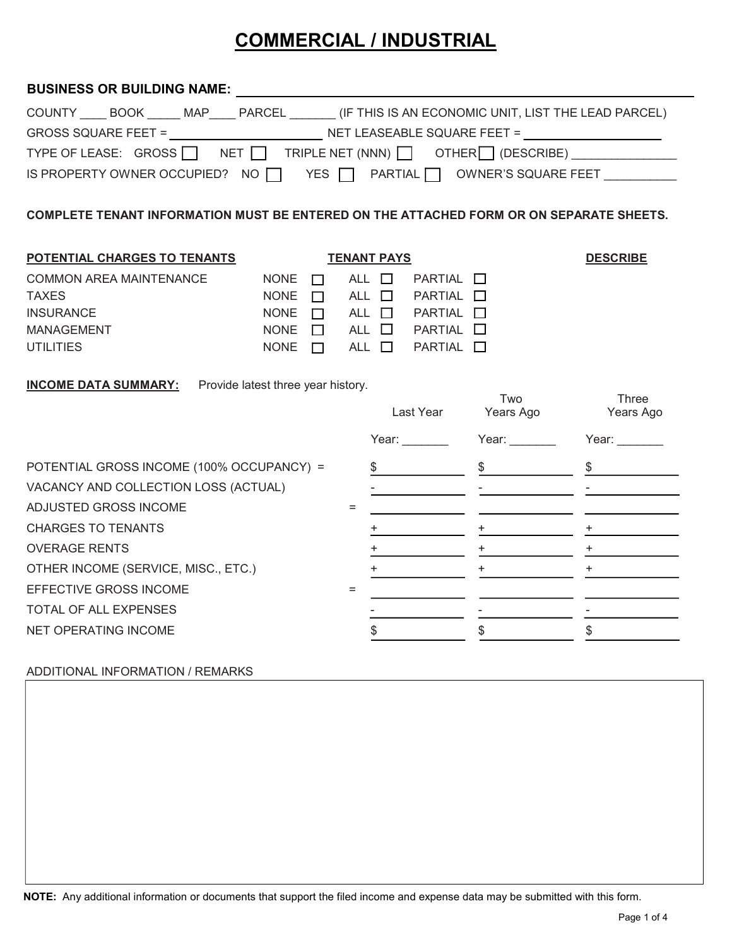## COMMERCIAL / INDUSTRIAL

### COUNTY \_\_\_\_ BOOK \_\_\_\_\_ MAP\_\_\_\_ PARCEL \_\_\_\_\_\_\_ (IF THIS IS AN ECONOMIC UNIT, LIST THE LEAD PARCEL) GROSS SQUARE FEET =  $\sqrt{ }$ TYPE OF LEASE:  $GROSS$  NET  $\Box$  TRIPLE NET (NNN)  $\Box$  OTHER  $\Box$  (DESCRIBE)  $\Box$ IS PROPERTY OWNER OCCUPIED? NO Q YES Q PARTIAL Q OWNER'S SQUARE FEET \_\_\_\_\_\_\_\_\_\_ BUSINESS OR BUILDING NAME: \_\_\_\_\_\_\_\_\_\_

COMPLETE TENANT INFORMATION MUST BE ENTERED ON THE ATTACHED FORM OR ON SEPARATE SHEETS.

| POTENTIAL CHARGES TO TENANTS |             | <b>DESCRIBE</b> |               |                   |  |
|------------------------------|-------------|-----------------|---------------|-------------------|--|
| COMMON AREA MAINTENANCE      | <b>NONE</b> | $\Box$          | ALL $\Box$    | $PARTIAL$ $\Box$  |  |
| <b>TAXES</b>                 | <b>NONE</b> | $\mathbf{1}$    | ALL <b>IT</b> | $PARTIAL$ $\Box$  |  |
| <b>INSURANCE</b>             | <b>NONE</b> | $\mathbf{I}$    | ALL $\Box$    | PARTIAL <b>IT</b> |  |
| <b>MANAGEMENT</b>            | <b>NONE</b> | $\mathbf{I}$    | $ALL$ $\Box$  | PARTIAL LI        |  |
| UTILITIES                    | <b>NONE</b> |                 | ALL $\Box$    | PARTIAL $\Box$    |  |
|                              |             |                 |               |                   |  |

**INCOME DATA SUMMARY:** Provide latest three year history.

|                                           | Last Year | Two<br>Years Ago | Three<br>Years Ago |
|-------------------------------------------|-----------|------------------|--------------------|
|                                           | Year:     | Year:            | Year:              |
| POTENTIAL GROSS INCOME (100% OCCUPANCY) = |           |                  |                    |
| VACANCY AND COLLECTION LOSS (ACTUAL)      |           |                  |                    |
| ADJUSTED GROSS INCOME                     |           |                  |                    |
| <b>CHARGES TO TENANTS</b>                 |           |                  |                    |
| <b>OVERAGE RENTS</b>                      |           |                  | +                  |
| OTHER INCOME (SERVICE, MISC., ETC.)       |           | +                | +                  |
| <b>EFFECTIVE GROSS INCOME</b>             |           |                  |                    |
| TOTAL OF ALL EXPENSES                     |           |                  |                    |
| NET OPERATING INCOME                      |           |                  |                    |

#### ADDITIONAL INFORMATION / REMARKS

NOTE: Any additional information or documents that support the filed income and expense data may be submitted with this form.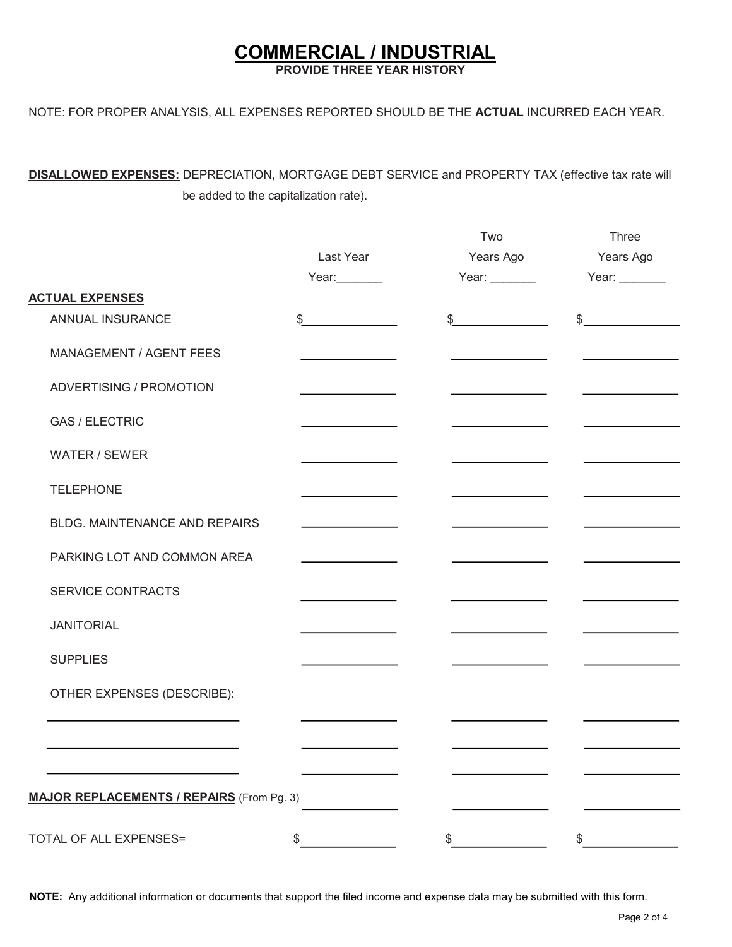### COMMERCIAL / INDUSTRIAL

PROVIDE THREE YEAR HISTORY

NOTE: FOR PROPER ANALYSIS, ALL EXPENSES REPORTED SHOULD BE THE ACTUAL INCURRED EACH YEAR.

DISALLOWED EXPENSES: DEPRECIATION, MORTGAGE DEBT SERVICE and PROPERTY TAX (effective tax rate will be added to the capitalization rate).

|                                                  |                                         | Two           | Three         |
|--------------------------------------------------|-----------------------------------------|---------------|---------------|
|                                                  | Last Year                               | Years Ago     | Years Ago     |
|                                                  | Year:_______                            | Year: $\_\_$  | Year: $\_\_$  |
| <b>ACTUAL EXPENSES</b>                           |                                         |               |               |
| ANNUAL INSURANCE                                 | \$                                      | $\frac{1}{2}$ | $\frac{1}{2}$ |
| MANAGEMENT / AGENT FEES                          |                                         |               |               |
| ADVERTISING / PROMOTION                          |                                         |               |               |
| <b>GAS / ELECTRIC</b>                            |                                         |               |               |
| WATER / SEWER                                    |                                         |               |               |
| <b>TELEPHONE</b>                                 |                                         |               |               |
| <b>BLDG. MAINTENANCE AND REPAIRS</b>             |                                         |               |               |
| PARKING LOT AND COMMON AREA                      |                                         |               |               |
| SERVICE CONTRACTS                                |                                         |               |               |
| <b>JANITORIAL</b>                                |                                         |               |               |
| <b>SUPPLIES</b>                                  | <u> 1980 - Johann Barbara, martin a</u> |               |               |
| OTHER EXPENSES (DESCRIBE):                       |                                         |               |               |
|                                                  |                                         |               |               |
|                                                  |                                         |               |               |
| <b>MAJOR REPLACEMENTS / REPAIRS (From Pg. 3)</b> |                                         |               |               |
| TOTAL OF ALL EXPENSES=                           | \$                                      | \$            | $\$\$         |

NOTE: Any additional information or documents that support the filed income and expense data may be submitted with this form.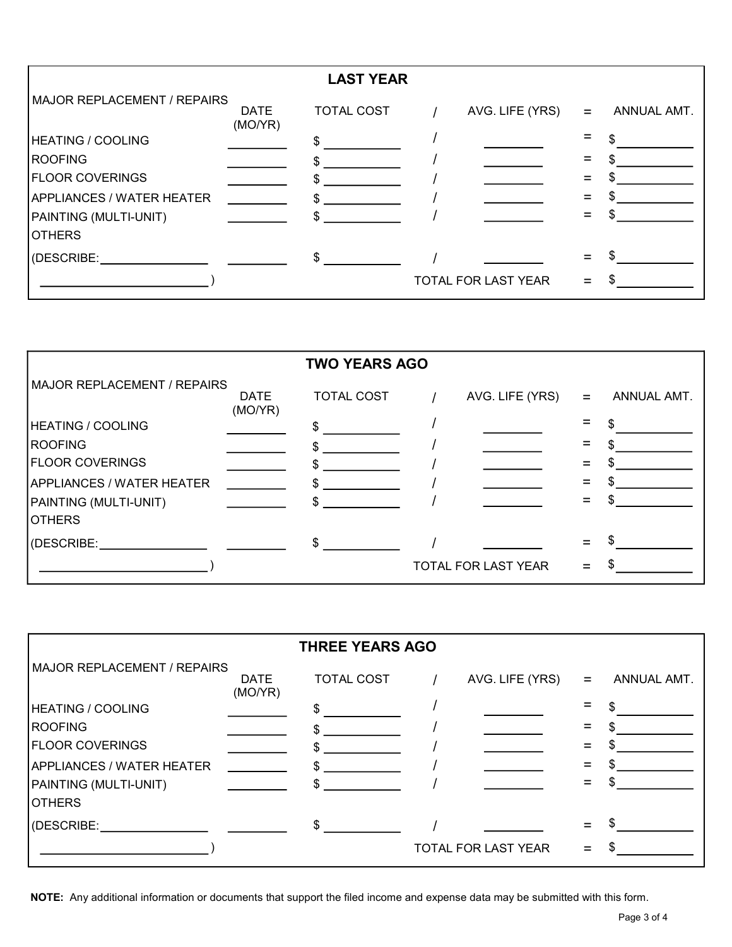| <b>LAST YEAR</b>                   |                        |                   |  |                     |          |             |  |  |
|------------------------------------|------------------------|-------------------|--|---------------------|----------|-------------|--|--|
| <b>MAJOR REPLACEMENT / REPAIRS</b> | <b>DATE</b><br>(MO/YR) | <b>TOTAL COST</b> |  | AVG. LIFE (YRS)     | $\equiv$ | ANNUAL AMT. |  |  |
| <b>HEATING / COOLING</b>           |                        | \$                |  |                     |          |             |  |  |
| <b>ROOFING</b>                     |                        |                   |  |                     |          |             |  |  |
| <b>FLOOR COVERINGS</b>             |                        |                   |  |                     |          |             |  |  |
| <b>APPLIANCES / WATER HEATER</b>   |                        |                   |  |                     |          |             |  |  |
| PAINTING (MULTI-UNIT)              |                        |                   |  |                     |          |             |  |  |
| <b>OTHERS</b>                      |                        |                   |  |                     |          |             |  |  |
| (DESCRIBE:                         |                        | $\mathbb{S}$      |  |                     |          |             |  |  |
|                                    |                        |                   |  | TOTAL FOR LAST YEAR |          |             |  |  |

| <b>TWO YEARS AGO</b>               |                        |                   |  |                     |     |             |  |  |
|------------------------------------|------------------------|-------------------|--|---------------------|-----|-------------|--|--|
| <b>MAJOR REPLACEMENT / REPAIRS</b> | <b>DATE</b><br>(MO/YR) | <b>TOTAL COST</b> |  | AVG. LIFE (YRS)     | $=$ | ANNUAL AMT. |  |  |
| <b>HEATING / COOLING</b>           |                        |                   |  |                     |     |             |  |  |
| <b>ROOFING</b>                     |                        |                   |  |                     |     |             |  |  |
| <b>FLOOR COVERINGS</b>             |                        |                   |  |                     |     |             |  |  |
| <b>APPLIANCES / WATER HEATER</b>   |                        |                   |  |                     |     |             |  |  |
| PAINTING (MULTI-UNIT)              |                        | \$                |  |                     |     |             |  |  |
| <b>OTHERS</b>                      |                        |                   |  |                     |     |             |  |  |
| (DESCRIBE: The second second)      |                        | \$                |  |                     |     |             |  |  |
|                                    |                        |                   |  | TOTAL FOR LAST YEAR |     |             |  |  |

| <b>THREE YEARS AGO</b>           |                        |                   |  |                     |     |             |  |  |
|----------------------------------|------------------------|-------------------|--|---------------------|-----|-------------|--|--|
| MAJOR REPLACEMENT / REPAIRS      | <b>DATE</b><br>(MO/YR) | <b>TOTAL COST</b> |  | AVG. LIFE (YRS)     | $=$ | ANNUAL AMT. |  |  |
| <b>HEATING / COOLING</b>         |                        | S                 |  |                     |     |             |  |  |
| <b>ROOFING</b>                   |                        |                   |  |                     |     |             |  |  |
| <b>FLOOR COVERINGS</b>           |                        |                   |  |                     |     |             |  |  |
| <b>APPLIANCES / WATER HEATER</b> |                        |                   |  |                     |     |             |  |  |
| PAINTING (MULTI-UNIT)            |                        |                   |  |                     |     |             |  |  |
| <b>OTHERS</b>                    |                        |                   |  |                     |     |             |  |  |
| (DESCRIBE:                       |                        | $\frac{1}{2}$     |  |                     |     |             |  |  |
|                                  |                        |                   |  | TOTAL FOR LAST YEAR |     |             |  |  |

NOTE: Any additional information or documents that support the filed income and expense data may be submitted with this form.